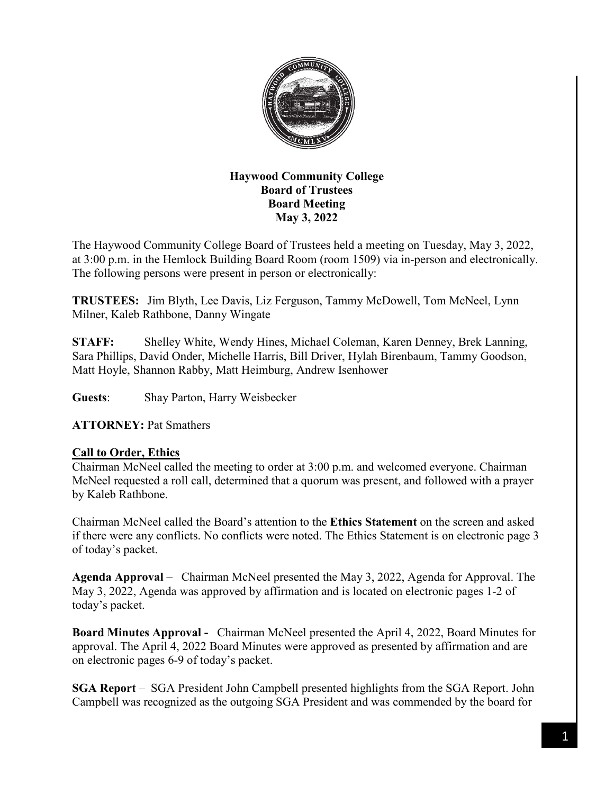

# **Haywood Community College Board of Trustees Board Meeting May 3, 2022**

The Haywood Community College Board of Trustees held a meeting on Tuesday, May 3, 2022, at 3:00 p.m. in the Hemlock Building Board Room (room 1509) via in-person and electronically. The following persons were present in person or electronically:

**TRUSTEES:** Jim Blyth, Lee Davis, Liz Ferguson, Tammy McDowell, Tom McNeel, Lynn Milner, Kaleb Rathbone, Danny Wingate

**STAFF:** Shelley White, Wendy Hines, Michael Coleman, Karen Denney, Brek Lanning, Sara Phillips, David Onder, Michelle Harris, Bill Driver, Hylah Birenbaum, Tammy Goodson, Matt Hoyle, Shannon Rabby, Matt Heimburg, Andrew Isenhower

**Guests**: Shay Parton, Harry Weisbecker

## **ATTORNEY:** Pat Smathers

### **Call to Order, Ethics**

Chairman McNeel called the meeting to order at 3:00 p.m. and welcomed everyone. Chairman McNeel requested a roll call, determined that a quorum was present, and followed with a prayer by Kaleb Rathbone.

Chairman McNeel called the Board's attention to the **Ethics Statement** on the screen and asked if there were any conflicts. No conflicts were noted. The Ethics Statement is on electronic page 3 of today's packet.

**Agenda Approval** – Chairman McNeel presented the May 3, 2022, Agenda for Approval. The May 3, 2022, Agenda was approved by affirmation and is located on electronic pages 1-2 of today's packet.

**Board Minutes Approval -** Chairman McNeel presented the April 4, 2022, Board Minutes for approval. The April 4, 2022 Board Minutes were approved as presented by affirmation and are on electronic pages 6-9 of today's packet.

**SGA Report** – SGA President John Campbell presented highlights from the SGA Report. John Campbell was recognized as the outgoing SGA President and was commended by the board for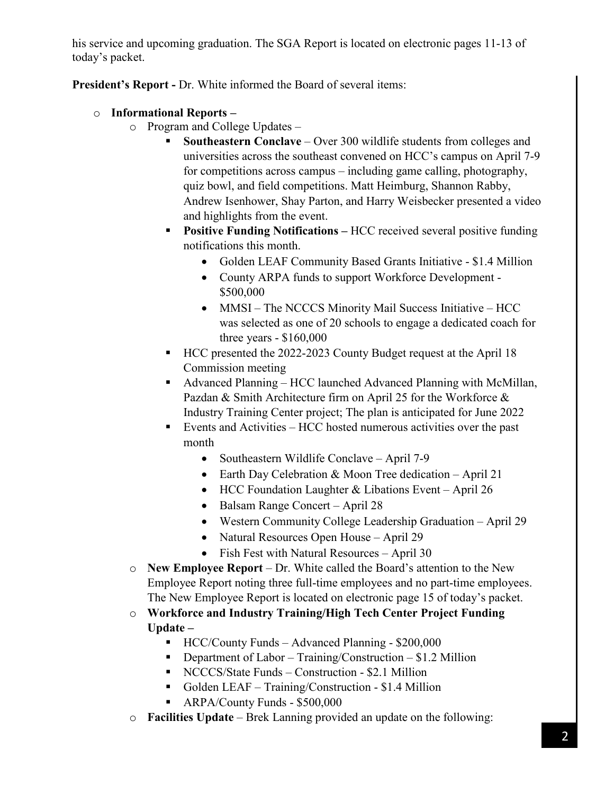his service and upcoming graduation. The SGA Report is located on electronic pages 11-13 of today's packet.

**President's Report -** Dr. White informed the Board of several items:

- o **Informational Reports –**
	- o Program and College Updates
		- **Southeastern Conclave** Over 300 wildlife students from colleges and universities across the southeast convened on HCC's campus on April 7-9 for competitions across campus – including game calling, photography, quiz bowl, and field competitions. Matt Heimburg, Shannon Rabby, Andrew Isenhower, Shay Parton, and Harry Weisbecker presented a video and highlights from the event.
		- **Positive Funding Notifications –** HCC received several positive funding notifications this month.
			- Golden LEAF Community Based Grants Initiative \$1.4 Million
			- County ARPA funds to support Workforce Development \$500,000
			- MMSI The NCCCS Minority Mail Success Initiative HCC was selected as one of 20 schools to engage a dedicated coach for three years - \$160,000
		- HCC presented the 2022-2023 County Budget request at the April 18 Commission meeting
		- Advanced Planning HCC launched Advanced Planning with McMillan, Pazdan & Smith Architecture firm on April 25 for the Workforce & Industry Training Center project; The plan is anticipated for June 2022
		- Events and Activities HCC hosted numerous activities over the past month
			- Southeastern Wildlife Conclave April 7-9
			- Earth Day Celebration & Moon Tree dedication April 21
			- HCC Foundation Laughter & Libations Event April 26
			- Balsam Range Concert April 28
			- Western Community College Leadership Graduation April 29
			- Natural Resources Open House April 29
			- Fish Fest with Natural Resources April 30
	- o **New Employee Report** Dr. White called the Board's attention to the New Employee Report noting three full-time employees and no part-time employees. The New Employee Report is located on electronic page 15 of today's packet.
	- o **Workforce and Industry Training/High Tech Center Project Funding Update –**
		- HCC/County Funds Advanced Planning \$200,000
		- **•** Department of Labor Training/Construction  $$1.2$  Million
		- NCCCS/State Funds Construction \$2.1 Million
		- Golden LEAF Training/Construction \$1.4 Million
		- **ARPA/County Funds \$500,000**
	- o **Facilities Update** Brek Lanning provided an update on the following: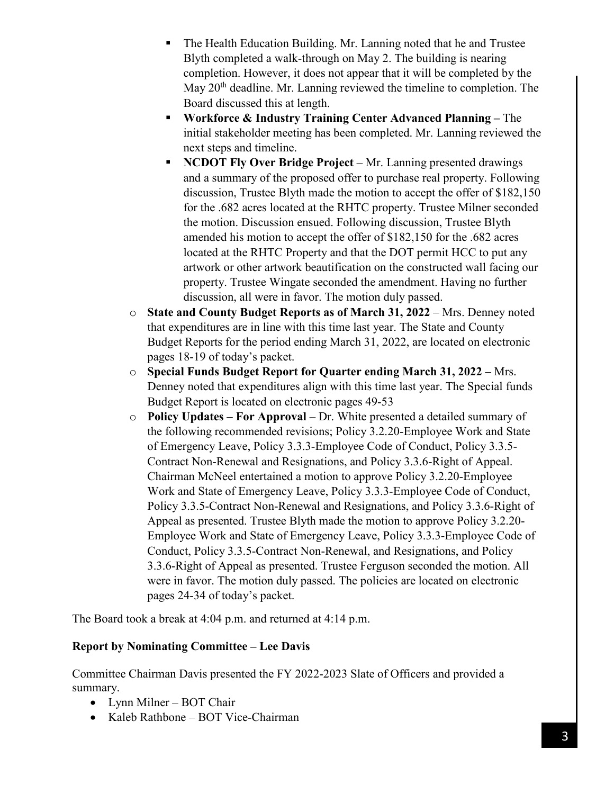- The Health Education Building. Mr. Lanning noted that he and Trustee Blyth completed a walk-through on May 2. The building is nearing completion. However, it does not appear that it will be completed by the May  $20<sup>th</sup>$  deadline. Mr. Lanning reviewed the timeline to completion. The Board discussed this at length.
- **Workforce & Industry Training Center Advanced Planning –** The initial stakeholder meeting has been completed. Mr. Lanning reviewed the next steps and timeline.
- **NCDOT Fly Over Bridge Project** Mr. Lanning presented drawings and a summary of the proposed offer to purchase real property. Following discussion, Trustee Blyth made the motion to accept the offer of \$182,150 for the .682 acres located at the RHTC property. Trustee Milner seconded the motion. Discussion ensued. Following discussion, Trustee Blyth amended his motion to accept the offer of \$182,150 for the .682 acres located at the RHTC Property and that the DOT permit HCC to put any artwork or other artwork beautification on the constructed wall facing our property. Trustee Wingate seconded the amendment. Having no further discussion, all were in favor. The motion duly passed.
- o **State and County Budget Reports as of March 31, 2022** Mrs. Denney noted that expenditures are in line with this time last year. The State and County Budget Reports for the period ending March 31, 2022, are located on electronic pages 18-19 of today's packet.
- o **Special Funds Budget Report for Quarter ending March 31, 2022 –** Mrs. Denney noted that expenditures align with this time last year. The Special funds Budget Report is located on electronic pages 49-53
- o **Policy Updates – For Approval** Dr. White presented a detailed summary of the following recommended revisions; Policy 3.2.20-Employee Work and State of Emergency Leave, Policy 3.3.3-Employee Code of Conduct, Policy 3.3.5- Contract Non-Renewal and Resignations, and Policy 3.3.6-Right of Appeal. Chairman McNeel entertained a motion to approve Policy 3.2.20-Employee Work and State of Emergency Leave, Policy 3.3.3-Employee Code of Conduct, Policy 3.3.5-Contract Non-Renewal and Resignations, and Policy 3.3.6-Right of Appeal as presented. Trustee Blyth made the motion to approve Policy 3.2.20- Employee Work and State of Emergency Leave, Policy 3.3.3-Employee Code of Conduct, Policy 3.3.5-Contract Non-Renewal, and Resignations, and Policy 3.3.6-Right of Appeal as presented. Trustee Ferguson seconded the motion. All were in favor. The motion duly passed. The policies are located on electronic pages 24-34 of today's packet.

The Board took a break at 4:04 p.m. and returned at 4:14 p.m.

## **Report by Nominating Committee – Lee Davis**

Committee Chairman Davis presented the FY 2022-2023 Slate of Officers and provided a summary.

- Lynn Milner BOT Chair
- Kaleb Rathbone BOT Vice-Chairman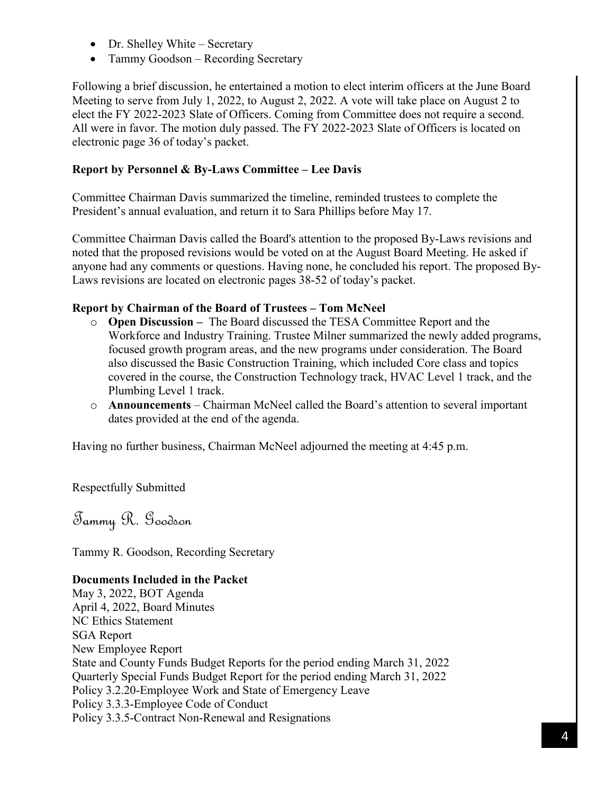- Dr. Shelley White Secretary
- Tammy Goodson Recording Secretary

Following a brief discussion, he entertained a motion to elect interim officers at the June Board Meeting to serve from July 1, 2022, to August 2, 2022. A vote will take place on August 2 to elect the FY 2022-2023 Slate of Officers. Coming from Committee does not require a second. All were in favor. The motion duly passed. The FY 2022-2023 Slate of Officers is located on electronic page 36 of today's packet.

# **Report by Personnel & By-Laws Committee – Lee Davis**

Committee Chairman Davis summarized the timeline, reminded trustees to complete the President's annual evaluation, and return it to Sara Phillips before May 17.

Committee Chairman Davis called the Board's attention to the proposed By-Laws revisions and noted that the proposed revisions would be voted on at the August Board Meeting. He asked if anyone had any comments or questions. Having none, he concluded his report. The proposed By-Laws revisions are located on electronic pages 38-52 of today's packet.

# **Report by Chairman of the Board of Trustees – Tom McNeel**

- o **Open Discussion –** The Board discussed the TESA Committee Report and the Workforce and Industry Training. Trustee Milner summarized the newly added programs, focused growth program areas, and the new programs under consideration. The Board also discussed the Basic Construction Training, which included Core class and topics covered in the course, the Construction Technology track, HVAC Level 1 track, and the Plumbing Level 1 track.
- o **Announcements**  Chairman McNeel called the Board's attention to several important dates provided at the end of the agenda.

Having no further business, Chairman McNeel adjourned the meeting at 4:45 p.m.

Respectfully Submitted

Tammy R. Goodson

Tammy R. Goodson, Recording Secretary

## **Documents Included in the Packet**

May 3, 2022, BOT Agenda April 4, 2022, Board Minutes NC Ethics Statement SGA Report New Employee Report State and County Funds Budget Reports for the period ending March 31, 2022 Quarterly Special Funds Budget Report for the period ending March 31, 2022 Policy 3.2.20-Employee Work and State of Emergency Leave Policy 3.3.3-Employee Code of Conduct Policy 3.3.5-Contract Non-Renewal and Resignations